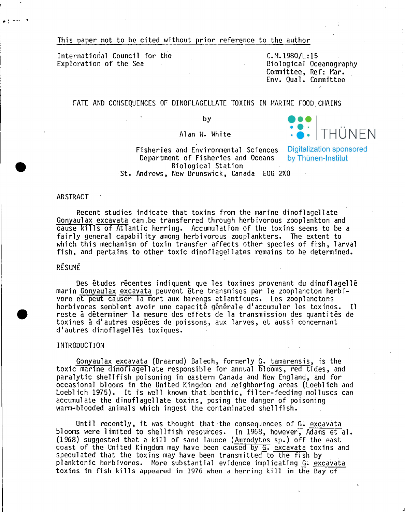This paper not to be cited without prior reference to the author

International Council for the Exploration of the Sea

 $C.M.1980/L:15$ ßiological Oceanography Committee, Ref: Mar. Env. Qual. Committec

## FATE AND CONSEQUENCES OF DINOFLAGELLATE TOXINS IN MARINE FOOD CHAINS

by

Al an W. White

Fisheries and Environmental Sciences Digitalization sponsored Department of Fisheries and Oceans Biological Station St. Andrews, New ßrunswick, Canada EOG 2XO

by Thünen-Institut

THÜNEN

## ABSTRACT

.<br>. . . . . .

**•** 

**•** 

Reeent studies indieate that toxins from the marine dinoflagellate Gonyaulax exeavata can\_be transferrcd through hcrbivorous zooplankton and cause kills of Atlantic herring. Accumulation of the toxins seems to be a fairly general eapability among herbivorous zooplankters. The extent to whieh this meehanism of toxin 'transfer affeets other speeies of fish, larval fish, and pertains to other toxie dinoflagellates remains to be determined.

## RESUME

Des etudes reeentes indiquent que les toxines provenant du dinoflagelle marin Gonyaulax exeavata peuvent etre transmises par le zooplancton herbivore et peut eauser la mort aux harengs atlantiques. Les zooplanctons herbivores semblent avoir une capacité générale d'accumuler les toxines. Il reste à déterminer la mesure des effets de la transmission des quantités de toxines a d'autres cspeees de poissons, aux larves, et aussi eoneernant d'autres dinoflagelles toxiques.

#### INTRODUCTION

Gonyaulax excavata (Braarud) Balech, formerly G. tamarensis, is the toxie marinc dinoflagellate responsible for annual blooms, red tides, and paralytic shellfish poisoning in eastern Canada and New England, and for occasional blooms in the United Kingdom and neighboring areas (Loeblich and Loeblich 1975). It is well known that benthic, filter-feeding molluscs can accumulate the dinoflagellate toxins, posing the danger of poisoning warm-blooded animals which ingest the contaminated shellfish.

Until recently, it was thought that the consequences of  $G$ . excavata blooms were limited to shellfish resources. In 1968, however, Adams et al. (1968) suggested that a kill of sand launce (Ammodytes sp.) off the east coast of the United Kingdom may have been caused by G. excavata toxins and speculated that the toxins may have been transmitted to the fish by planktonic herbivores. More substantial evidence implicating G: excavata toxins in fish kills appeared in 1976 when a herring kill in the ßay of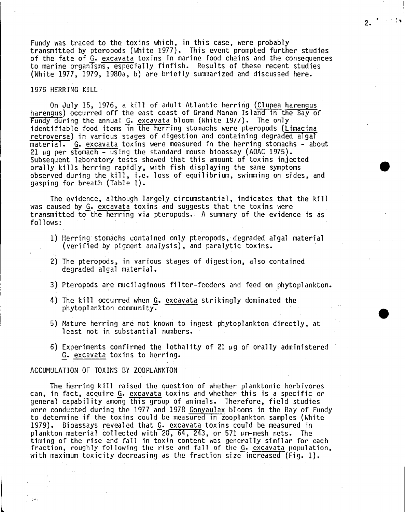Fundy was traced to the toxins which, in this case, were probably transmitted by pteropods (White 1977). This event prompted further studies of the fate of G. excavata toxins in marine food chains and the consequences to marine organisms, especially finfish. Results of these recent studies (White 1977, 1979, 1980a, b) are brief1y summarized and discussed here.

 $2.$   $\cdot$   $\cdot$  ;

•

**•** 

#### 1976 HERRING KILL·

On Ju1y 15, 1976, <sup>a</sup> kill of adult Atlantic herring (Clupea harengus harengus) oecurred off the east eoast of Grand Manan Island in the ßay of Fundy during the annual G. exeavata bloom (White 1977). The only identifiable food items in the herring stomachs were pteropods (Limacina<br>retroversa) in various stages of digestion and containing degraded algal material. G. excavata toxins were measured in the herring stomachs - about 21  $\mu$ g per stomach - using the standard mouse bioassay (AOAC 1975).<br>Subsequent laboratory tests showed that this amount of toxins injected orally kills herring rapidly, with fish displaying the same symptoms observed during the kill, i.e. 10ss of equilibrium, swimming on sides, and gasping for breath (Table 1).

The evidence, a1though 1argely circumstantia1, indieates that the kill was eaused by G. excavata toxins and suggests that the toxins were transmitted to the herring via pteropods. A summary of the evidence is as follows:

- 1) Herring stomachs contained only pteropods, degraded algal material (verified by pigment analysis), and para1ytic toxins.
- 2) The pteropods, in various stages of digestion, also contained degraded a1gal material.
- 3} Pteropods are mucilaginous fi1ter-feeders and feed on phytoplankton.
- 4) The kill occurred when G. excavata striking1y dominated the phytoplankton community.
- 5) Mature herring are not known to ingest phytoplankton direct1y, at least not in substantial numbers.
- 6) Experiments confirmed the lethality of 21  $\mu$ g of orally administered Q. excavata toxins to herring.

ACCUMULATION OF TOXINS ßY ZOOPLANKTON

 $\overline{\phantom{a}}$ 

',.:.

The herring kill raised the question of whether planktonic herbivores can, in fact, acquire G. exeavata toxins and whether this is a specifie or general capability among this group of animals. Therefore, field studies were conducted during the 1977 and 1978 Gonyaulax blooms in the Bay of Fundy to determine if the toxins eould be measured in zooplankton samples (White 1979). ßioassays revea1ed that G. excavata toxins cou1d be measured in plankton material collected with $\overline{20, 64, 243}$ , or 571  $\mu$ m-mesh nets. The timing of the rise and fall in toxin content was generally similar for each fraction, roughly following the rise and fall of the G. excavata population, with maximum toxicity decreasing as the fraction size increased  $(\text{Fig. 1}).$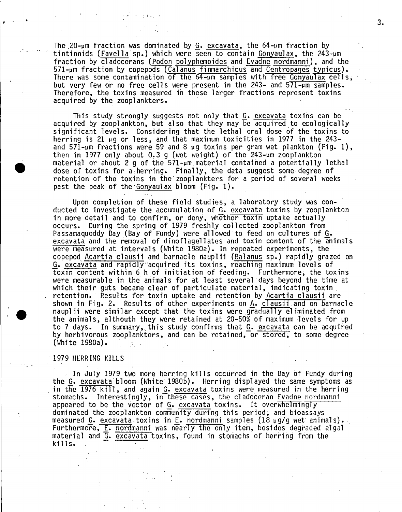The  $20$ -um fraction was dominated by G. excavata, the  $64$ -um fraction by tintinnids (Favella sp.) which were seen to contain Gonyaulax, the 243-um fraction by cladocerans (Podon polyphemoides and Evadne nordmanni), and the 571-um fraction by copepods (Calanus finmarchicus and Centropages typicus). There was some contamination of the  $64$ - $\mu$ m samples with free Gonyaulax cells, but very few or no free cells were present in the 243- and  $571$ - $\mu$ m samples. Therefore, the toxins measured in these larger fractions represent toxins acquired by the zooplankters. .

This study strongly suggests not only that G. excavata toxins can be acquired by zooplankton, but also that they may be acquired to ccologically significant levels. Considering that the lethal oral dose of the toxins to herring is 21  $\mu$ g or less, and that maximum toxicities in 1977 in the 243and 571-um fractions were 59 and 8  $\mu$ g toxins per gram wet plankton (Fig. 1), then in 1977 only about 0.3 g (wet weight) of the  $243$ -um zooplankton material or about 2 q of the  $571$ - $\mu$ m material contained a potentially lethal dose of toxins for a herring. Finally, the data suggest some degree of retention of the toxins in the zooplankters for a period of several weeks past the peak of the'Gonyaulax bloom (Fig. 1).

Upon completion of these field studies, a laboratory study was conducted to investigate the accumulation of G. excavata toxins by zooplankton in more detail and to confirm, or deny, whether toxin uptake actually occurs. During the spring of 1979 freshly collected zooplankton from Passamaquoddy Bay (Bay of Fundy) were allowed to feed on cultures of G. excavata and the removal of dinoflagellates and toxin content of the animals were measured at intervals (White 1980a). In repeated experiments, the copepod Acartia clausii and barnacle nauplii (Balanus sp.) rapidly grazed on G. excavata and rapidly acquired its toxins, reaching maximum levels of toxin content within 6 h of initiation of feeding. Furthermore, the toxins were measurable in the animals for at least several days beyond the time at which their guts became clear of particulate material, indicating toxin, retention. Results for toxin uptake and retention by Acartia clausii are shown in Fig. 2. Results of other experiments on A. clausii.and on barnacle nauplii were similar except that the toxins were gradually eliminated from the animals, althouth they were retained at 20-50% of maximum levels for up<br>to 7 days. In summary, this study confirms that G. excavata can be acquired by herbivorous zooplankters, and can be retained, or stored, to some degree (White 1980a).

## -1979 HERRING KILLS

, ,

•

'.

In July <sup>1979</sup> two more herring kills occurred in the Bay of Fundy during the G. excavatabloom (Hhite 1980b). Herring displayed the same symptoms as in the 1976 kill, and again G. excavata toxins were measured in the herring stomachs. Interestingly, in these cases, the cladoceran Evadne nordmanni appeared to be the vector of G. excavata toxins. It overwhelmingly dominated the zooplankton community during this period, and bioassays measured G. excavata toxins in E. nordmanni samples (18  $\mu$ g/g wet animals). Furthermore, E. nordmanni was nearly the only item, besides degraded algal material and G. excavata toxins, found in stomachs of herring fram the kills.

3.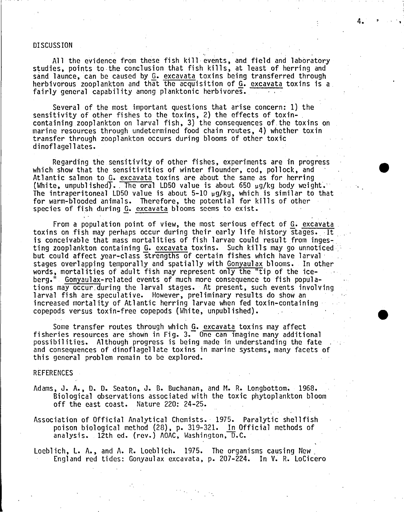## DISCUSSION

All the evidence from these fish kill events, and field and laboratory studies, points to the conclusion that fish kills, at least of herring and sand launce, can be caused by G. excavata toxins being transferred through herbivorous zooplankton and that the acquisition of  $G$ . excavata toxins is a fairly general capability among planktonic herbivores.

Several of the most important questions that arise concern: 1) the sensitivity of other fishes to the toxins, 2) the effects of toxincontaining zooplankton on larval fish, 3) the consequences of the toxins on marine resources through undetermined food chain routes, 4) whether toxin transfer through zooplankton occurs during blooms of other toxic dinoflagellates.

Regarding the sensitivity of other fishes, experiments are in progress which show that the sensitivities of winter flounder, cod, pollock, and Atlantic salmon to G. excavata toxins are about the same as for herring (White, unpublished). The oral LD50 value is about 650 uq/kg body weight. The intraperitoneal LD50 value is about  $5-10 \mu g/kg$ , which is similar to that for warm-blooded animals. Therefore, the potential for kills of other species of fish during *Q.* excavata blooms seems to exist.

From a population point of view, the most serious effect of G. excavata toxins on fish may perhaps occur during their early life history stages. It is conceivable that mass mortalities of fish larvae could result from ingesting zooplankton containing G. excavata toxins. Such kills may go unnoticed but could affect year-class strengths of certain fishes which have larval' stages overlapping temporally and spatially with Gonyaulax blooms. In other words, mortalities of adult fish may represent only the "tip of the ice-<br>berg." Gonyaulax-related events of much more consequence to fish populaberg." Gonyaul ax-rel ated events of much more consequence to fi sh popul ations may occur during the larval stages. At present, such events involving larval fish are speculative. However, preliminary results do show an increased mortality of Atlantic herring larvae when fed toxin-containing copepods versus toxin-free copepods (White, unpublished).

Some transfer routes through which G. excavata toxins may affect fisheries resources are shown in Fig.  $3.$  One can imagine many additional possibilities. Although progress is being made in understanding the fate and consequences of dinoflagellate toxins in marine systems, many facets of this general problem remain to be explored.

#### REFERENCES

- Adams, J. A., D. D. Seaton, J. B. Buchanan, and M. R. Longbottom. 1968. Biological observations associated with the toxic phytoplankton bloom off the east coast. Nature 220: 24-25.
- Association of Official Analytical Chemists.' 1975. Paralytic shellfish poison biological method (28), p. 319-321. In Official methods of analysis. 12th ed. (rev.) AOAC, Washington,  $\overline{D}$ .C.
- Loebl ich, L. A., and A. R. Locbl ich. 1975. The organisms causing New. England red tidcs: Gonyaulax excavata, p. 207-224. In V. R. LoCicero

4.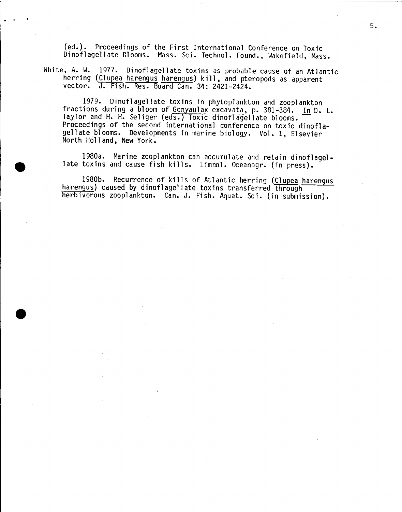(ed.). Proceedings of the First International Conference on Toxic Dinoflagellate Blooms. Mass. Sci. Technol. Found., Wakefield, Mass.

White, A. W. 1977. Dinoflagellate toxins as probable cause of an Atlantic herring (Clupea harengus harengus) kill, and pteropods as apparent veetor. J. Fish. Res. Board Can. 34: 2421-2424.

----------~----- ----

.<br>. . .

•

1979. Dinoflagellate toxins in phytoplankton and zooplankton<br>fractions during a bloom of Gonyaulax excavata, p. 381-384. In D. L. Tractions during a bioom of <u>donyaurax excavata</u>, p. 381-384. <u>In</u> D. L<br>Taylor and H. H. Seliger (eds.) Toxic dinoflagellate blooms.<br>Proceedings of the second international conference on toxic dinofla-Proceedings of the second international conference on toxic dinofla-<br>gellate blooms. Developments in marine biology. Vol. 1, Elsevier North Holland, New York.

1980a. Marine zooplankton can accumulate and retain dinoflagel-<br>late toxins and cause fish kills. Limnol. Oceanogr. (in press).

1980b. Recurrence of kills of Atlantic herring (Clupea harengus harengus) caused by dinoflagellate toxins transferred through herbivorous zooplankton. Can. J. Fish. Aquat. Sei. (in submission).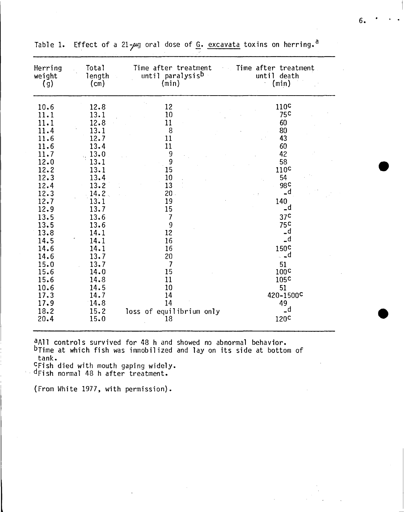| Herring<br>weight<br>(g)                                                                                                                                                                                             | Total<br>length<br>$(c_m)$                                                                                                                                                                                           | Time after treatment<br>until paralysis <sup>b</sup><br>(min)                                                                                                                                                | <b>Example 1 Time after treatment</b><br>until death<br>(min)                                                                                                                                                                                                                                            |
|----------------------------------------------------------------------------------------------------------------------------------------------------------------------------------------------------------------------|----------------------------------------------------------------------------------------------------------------------------------------------------------------------------------------------------------------------|--------------------------------------------------------------------------------------------------------------------------------------------------------------------------------------------------------------|----------------------------------------------------------------------------------------------------------------------------------------------------------------------------------------------------------------------------------------------------------------------------------------------------------|
| 10.6<br>11.1<br>11.1<br>11.4<br>11.6<br>11.6<br>11.7<br>12.0<br>12.2<br>12.3<br>12.4<br>12.3<br>12.7<br>12.9<br>13.5<br>13.5<br>13.8<br>14.5<br>14.6<br>14.6<br>15.0<br>15.6<br>15.6<br>10.6<br>17.3<br>17.9<br>18.2 | 12.8<br>13.1<br>12.8<br>13.1<br>12.7<br>13.4<br>13.0<br>13.1<br>13.1<br>13.4<br>13.2<br>14.2<br>13.1<br>13.7<br>13.6<br>13.6<br>14.1<br>14.1<br>14.1<br>13.7<br>13.7<br>14.0<br>14.8<br>14.5<br>14.7<br>14.8<br>15.2 | 12<br>10<br>11<br>8<br>11<br>11<br>9<br>9<br>15<br>10<br>13<br>$20 -$<br>19<br>15<br>$\overline{7}$<br>9<br>12<br>16<br>16<br>20<br>$\overline{7}$<br>15<br>11<br>10<br>14<br>14<br>loss of equilibrium only | 110 <sup>c</sup><br>75 <sup>c</sup><br>60<br>80<br>43<br>60<br>42<br>58<br>110 <sup>c</sup><br>54<br>98 <sub>c</sub><br>_d<br>$\sim$ 1<br>140<br>_d<br>37 <sup>C</sup><br>75C<br>_d<br>d۔<br>150 <sup>c</sup><br>$\ddot{a}$<br>51<br>100 <sub>c</sub><br>105 <sup>c</sup><br>51<br>420-1500C<br>49<br>_d |
| 20.4                                                                                                                                                                                                                 | 15.0                                                                                                                                                                                                                 | 18                                                                                                                                                                                                           | 120 <sup>c</sup>                                                                                                                                                                                                                                                                                         |

Table 1. Effect of a 21- $\mu$ g oral dose of  $\underline{G}$ . excavata toxins on herring.<sup>a</sup>

<sup>a</sup>All controls survived for 48 h and showed no abnormal behavior. bTime at which fish was immobilized and lay on its side at bottom of tank.

<sup>C</sup>Fish died with mouth gaping widely.<br><sup>• d</sup>Fish normal 48 h after treatment.

(From White 1977, with permission).

**•** 

•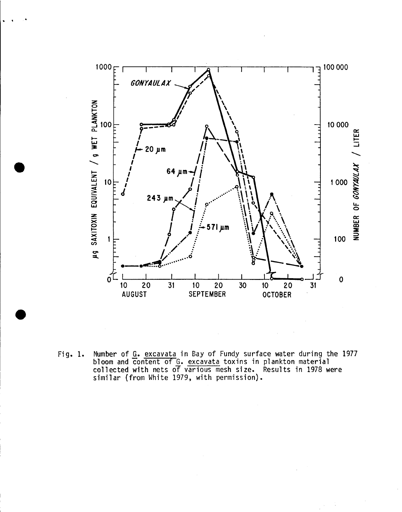

Number of G. excavata in Bay of Fundy surface water during the 1977<br>bloom and content of G. excavata toxins in plankton material<br>collected with nets of various mesh size. Results in 1978 were<br>similar (from White 1979, with Fig. 1.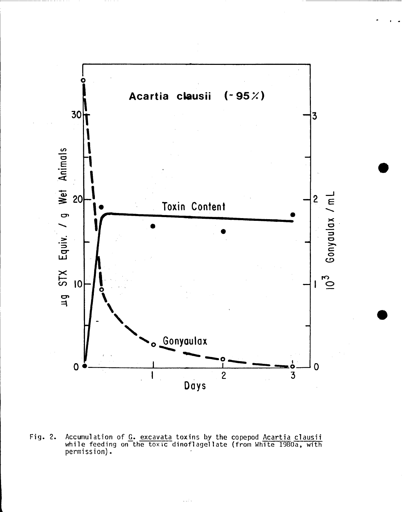

Accumulation of G. excavata toxins by the copepod Acartia clausii<br>while feeding on the toxic dinoflagellate (from White 1980a, with  $Fig. 2.$ permission).